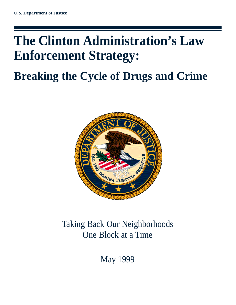# **The Clinton Administration's Law Enforcement Strategy:**

## **Breaking the Cycle of Drugs and Crime**



### Taking Back Our Neighborhoods One Block at a Time

May 1999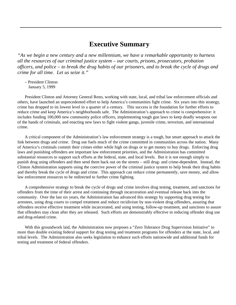### **Executive Summary**

*"As we begin a new century and a new millennium, we have a remarkable opportunity to harness all the resources of our criminal justice system – our courts, prisons, prosecutors, probation officers, and police – to break the drug habits of our prisoners, and to break the cycle of drugs and crime for all time. Let us seize it."*

– President Clinton January 5, 1999

President Clinton and Attorney General Reno, working with state, local, and tribal law enforcement officials and others, have launched an unprecedented effort to help America's communities fight crime. Six years into this strategy, crime has dropped to its lowest level in a quarter of a century. This success is the foundation for further efforts to reduce crime and keep America's neighborhoods safe. The Administration's approach to crime is comprehensive: it includes funding 100,000 new community police officers, implementing tough gun laws to keep deadly weapons out of the hands of criminals, and enacting new laws to fight violent gangs, juvenile crime, terrorism, and international crime.

A critical component of the Administration's law enforcement strategy is a tough, but smart approach to attack the link between drugs and crime. Drug use fuels much of the crime committed in communities across the nation. Many of America's criminals commit their crimes either while high on drugs or to get money to buy drugs. Enforcing drug laws and punishing offenders are important law enforcement priorities, and the Administration has committed substantial resources to support such efforts at the federal, state, and local levels. But it is not enough simply to punish drug using offenders and then send them back out on the streets – still drug- and crime-dependent. Instead, the Clinton Administration supports using the coercive power of the criminal justice system to help break their drug habits and thereby break the cycle of drugs and crime. This approach can reduce crime permanently, save money, and allow law enforcement resources to be redirected to further crime fighting.

A comprehensive strategy to break the cycle of drugs and crime involves drug testing, treatment, and sanctions for offenders from the time of their arrest and continuing through incarceration and eventual release back into the community. Over the last six years, the Administration has advanced this strategy by supporting drug testing for arrestees, using drug courts to compel treatment and reduce recidivism by non-violent drug offenders, assuring that offenders receive effective treatment while incarcerated, and using testing, follow-up treatment, and sanctions to assure that offenders stay clean after they are released. Such efforts are demonstrably effective in reducing offender drug use and drug-related crime.

With this groundwork laid, the Administration now proposes a "Zero Tolerance Drug Supervision Initiative" to more than double existing federal support for drug testing and treatment programs for offenders at the state, local, and tribal levels. The Administration also seeks legislation to enhance such efforts nationwide and additional funds for testing and treatment of federal offenders.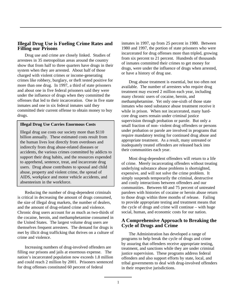#### **Illegal Drug Use is Fueling Crime Rates and Filling our Prisons**

Drug use and crime are closely linked. Studies of arrestees in 35 metropolitan areas around the country show that from half to three quarters have drugs in their system when they are arrested. About half of those charged with violent crimes or income-generating crimes like robbery, burglary, or theft tested positive for more than one drug. In 1997, a third of state prisoners and about one in five federal prisoners said they were under the influence of drugs when they committed the offenses that led to their incarceration. One in five state inmates and one in six federal inmates said they committed their current offense to obtain money to buy drugs.

#### **Illegal Drug Use Carries Enormous Costs**

Illegal drug use costs our society more than \$110 billion annually. These estimated costs result from the human lives lost directly from overdoses and indirectly from drug abuse-related diseases or accidents, the various crimes committed by addicts to support their drug habits, and the resources expended to apprehend, sentence, treat, and incarcerate drug users. Drug abuse contributes to spousal and child abuse, property and violent crime, the spread of AIDS, workplace and motor vehicle accidents, and absenteeism in the workforce.

Reducing the number of drug-dependent criminals is critical in decreasing the amount of drugs consumed, the size of illegal drug markets, the number of dealers, and the amount of drug-related crime and violence. Chronic drug users account for as much as two-thirds of the cocaine, heroin, and methamphetamine consumed in the United States. The largest volume drug users are themselves frequent arrestees. The demand for drugs is met by illicit drug trafficking that thrives on a culture of crime and violence.

Increasing numbers of drug-involved offenders are filling our prisons and jails at enormous expense. The nation's incarcerated population now exceeds 1.8 million and could reach 2 million by 2001. Prisoners sentenced for drug offenses constituted 60 percent of federal

inmates in 1997, up from 25 percent in 1980. Between 1980 and 1997, the portion of state prisoners who were incarcerated for drug offenses more than tripled, growing from six percent to 21 percent. Hundreds of thousands of inmates committed their crimes to get money for drugs, were under the influence of drugs when arrested, or have a history of drug use.

Drug abuse treatment is essential, but too often not available. The number of arrestees who require drug treatment may exceed 2 million each year, including many chronic users of cocaine, heroin, and methamphetamine. Yet only one-sixth of those state inmates who need substance abuse treatment receive it while in prison. When not incarcerated, many hardcore drug users remain under criminal justice supervision through probation or parole. But only a small fraction of non- violent drug offenders or persons under probation or parole are involved in programs that require mandatory testing for continued drug abuse and appropriate treatment. As a result, many untreated or inadequately treated offenders are released back into their communities each year.

Most drug-dependent offenders will return to a life of crime. Merely incarcerating offenders without treating underlying substance abuse problems is shortsighted, expensive, and will not solve the crime problem. It simply suspends temporarily the criminal, destructive and costly interactions between offenders and our communities. Between 60 and 75 percent of untreated parolees with histories of cocaine or heroin abuse return to those drugs within three months of release. Failing to provide appropriate testing and treatment means that the cycle of drugs and crime will continue – with huge social, human, and economic costs for our nation.

#### **A Comprehensive Approach to Breaking the Cycle of Drugs and Crime**

The Administration has developed a range of programs to help break the cycle of drugs and crime by assuring that offenders receive appropriate testing, treatment, and sanctions while they are under criminal justice supervision. These programs address federal offenders and also support efforts by state, local, and tribal governments to deal with drug-involved offenders in their respective jurisdictions.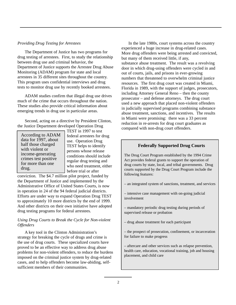#### *Providing Drug Testing for Arrestees*

The Department of Justice has two programs for drug testing of arrestees. First, to study the relationship between drug use and criminal behavior, the Department of Justice supports the Arrestee Drug Abuse Monitoring (ADAM) program for state and local arrestees in 35 different sites throughout the country. This program uses confidential interviews and drug tests to monitor drug use by recently booked arrestees.

ADAM studies confirm that illegal drug use drives much of the crime that occurs throughout the nation. These studies also provide critical information about emerging trends in drug use in particular areas.

Second, acting on a directive by President Clinton, the Justice Department developed Operation Drug

According to ADAM data for 1997, about half those charged with violent or income-generating crimes test positive for more than one drug.

TEST in 1997 to test federal arrestees for drug use. Operation Drug TEST helps to identify persons whose release conditions should include regular drug testing and who need treatment, either before trial or after

conviction. The \$4.7 million pilot project, funded by the Department of Justice and implemented by the Administrative Office of United States Courts, is now in operation in 24 of the 94 federal judicial districts. Efforts are under way to expand Operation Drug TEST to approximately 10 more districts by the end of 1999. And other districts on their own initiative have adopted drug testing programs for federal arrestees.

#### *Using Drug Courts to Break the Cycle for Non-violent Offenders*

A key tool in the Clinton Administration's strategy for breaking the cycle of drugs and crime is the use of drug courts. These specialized courts have proved to be an effective way to address drug abuse problems for non-violent offenders, to reduce the burdens imposed on the criminal justice system by drug-related cases, and to help offenders become law-abiding, selfsufficient members of their communities.

In the late 1980s, court systems across the country experienced a huge increase in drug-related cases. More drug offenders were being arrested and convicted, but many of them received little, if any, substance abuse treatment. The result was a revolving door in which drug-using offenders were cycled in and out of courts, jails, and prisons in ever-growing numbers that threatened to overwhelm criminal justice resources. The first drug court was created in Miami, Florida in 1989, with the support of judges, prosecutors, including Attorney General Reno – then the county prosecutor – and defense attorneys. The drug court used a new approach that placed non-violent offenders in judicially supervised programs combining substance abuse treatment, sanctions, and incentives. The results in Miami were promising: there was a 33 percent reduction in re-arrests for drug court graduates as compared with non-drug court offenders.

#### **Federally Supported Drug Courts**

The Drug Court Program established by the 1994 Crime Act provides federal grants to support the operation of drug courts by state, local, and tribal governments. Drug courts supported by the Drug Court Program include the following features:

– an integrated system of sanctions, treatment, and services

– intensive case management with on-going judicial involvement

– mandatory periodic drug testing during periods of supervised release or probation

– drug abuse treatment for each participant

– the prospect of prosecution, confinement, or incarceration for failure to make progress

– aftercare and other services such as relapse prevention, health care, education, vocational training, job and housing placement, and child care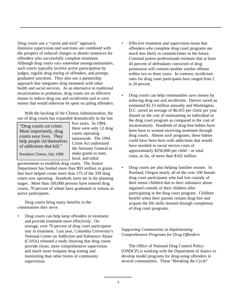Drug courts use a "carrot and stick" approach. Intensive supervision and sanctions are combined with the prospect of reduced charges or shorter sentences for offenders who successfully complete treatment. Although drug courts vary somewhat amongcommunities, such courts typically involve active participation by judges, regular drug testing of offenders, and prompt, graduated sanctions. They also use a partnership approach that integrates drug treatment with other health and social services. As an alternative to traditional incarceration or probation, drug courts are an effective means to reduce drug use and recidivisim and to save money that would otherwise be spent on jailing offenders.

With the backing of the Clinton Administration, the use of drug courts has expanded dramatically in the last

| "Drug courts cut crime.    |
|----------------------------|
| More importantly, drug     |
| courts save lives. They    |
| help people rid themselves |
| of addictions that kill."  |

five years. In 1994, there were only 12 drug courts operating nationwide. The 1994 Crime Act authorized the Attorney General to make grants to state, local, and tribal

President Clinton, July 1998

governments to establish drug courts. The Justice Department has funded more than \$93 million in grants that have helped create more than 175 of the 359 drug courts now operating. Hundreds more are in the planning stages. More than 100,000 persons have entered drug courts, 70 percent of whom have graduated or remain as active participants.

Drug courts bring many benefits to the communities they serve.

• Drug courts can help keep offenders in treatment and provide treatment more effectively. On average, over 70 percent of drug court participants stay in treatment. Last year, Columbia University's National Center on Addiction and Substance Abuse (CASA) released a study showing that drug courts provide closer, more comprehensive supervision and much more frequent drug testing and monitoring than other forms of community supervision.

- Effective treatment and supervision mean that offenders who complete drug court programs are much less likely to commitcrimes in the future. Criminal justice professionals estimate that at least 45 percent of defendants convicted of drug possession will commit another similar offense within two to three years. In contrast, recidivism rates for drug court participants have ranged from 2 to 20 percent.
- Drug courts can help communities save money by reducing drug use and recidivism. Denver saved an estimated \$2.15 million annually and Washington, D.C. saved an average of \$6,455 per client per year (based on the cost of maintaining an individual in the drug court program as compared to the cost of incarceration). Hundreds of drug-free babies have been born to women receiving treatment through drug courts. Absent such programs, these babies could have been born with addictions that would have resulted in social service costs of approximately \$250,000 per child – or total costs, so far, of more than \$162 million.
- Drug courts are also helping families reunite. In Portland, Oregon nearly all of the over 100 female drug court participants who had lost custody of their minor children due to their substance abuse regained custody of their children after participating in the drug court program. Children benefit when their parents remain drug free and acquire the life skills learned through completion of drug court programs.

#### *Supporting Communities in Implementing Comprehensive Programs for Drug Offenders*

The Office of National Drug Control Policy (ONDCP) is working with the Department of Justice to develop model programs for drug-using offenders in several communities. These "Breaking the Cycle"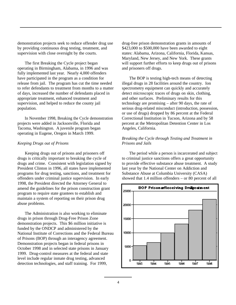demonstration projects seek to reduce offender drug use by providing continuous drug testing, treatment, and supervision with close oversight by the courts.

The first Breaking the Cycle project began operating in Birmingham, Alabama, in 1996 and was fully implemented last year. Nearly 4,000 offenders have participated in the program as a condition for release from jail. The program has cut the time needed to refer defendants to treatment from months to a matter of days, increased the number of defendants placed in appropriate treatment, enhanced treatment and supervision, and helped to reduce the county jail population.

In November 1998, Breaking the Cycle demonstration projects were added in Jacksonville, Florida and Tacoma, Washington. A juvenile program began operating in Eugene, Oregon in March 1999.

#### *Keeping Drugs out of Prisons*

Keeping drugs out of prisons and prisoners off drugs is critically important to breaking the cycle of drugs and crime. Consistent with legislation signed by President Clinton in 1996, all states have implemented programs for drug testing, sanctions, and treatment for offenders under criminal justice supervision. In early 1998, the President directed the Attorney General to amend the guidelines for the prison construction grant program to require state grantees to establish and maintain a system of reporting on their prison drug abuse problems.

The Administration is also working to eliminate drugs in prison through Drug-Free Prison Zone demonstration projects. This \$6 million initiative is funded by the ONDCP and administered by the National Institute of Corrections and the Federal Bureau of Prisons (BOP) through an interagency agreement. Demonstration projects began in federal prisons in October 1998 and in selected state prisons in January 1999. Drug-control measures at the federal and state level include regular inmate drug testing, advanced detection technologies, and staff training. For 1999,

drug-free prison demonstration grants in amounts of \$423,000 to \$500,000 have been awarded to eight states: Alabama, Arizona, California, Florida, Kansas, Maryland, New Jersey, and New York. These grants will support further efforts to keep drugs out of prisons and prisoners off drugs.

The BOP is testing high-tech means of detecting illegal drugs in 28 facilities around the country. Ion spectrometry equipment can quickly and accurately detect microscopic traces of drugs on skin, clothing, and other surfaces. Preliminary results for this technology are promising – after 90 days, the rate of serious drug-related misconduct (introduction, possession, or use of drugs) dropped by 86 percent at the Federal Correctional Institution in Tucson, Arizona and by 58 percent at the Metropolitan Detention Center in Los Angeles, California.

#### *Breaking the Cycle through Testing and Treatment in Prisons and Jails*

The period while a person is incarcerated and subject to criminal justice sanctions offers a great opportunity to provide effective substance abuse treatment. A study last year by the National Center on Addiction and Substance Abuse at Columbia University (CASA) showed that 1.4 million offenders – or 80 percent of all

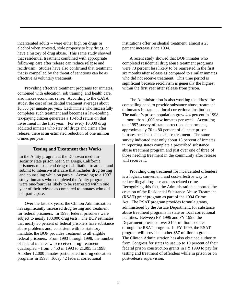incarcerated adults – were either high on drugs or alcohol when arrested, stole property to buy drugs, or have a history of drug abuse. This same study showed that residential treatment combined with appropriate follow-up care after release can reduce relapse and recidivism. Studies have also confirmed that treatment that is compelled by the threat of sanctions can be as effective as voluntary treatment.

Providing effective treatment programs for inmates, combined with education, job training, and health care, also makes economic sense. According to the CASA study, the cost of residential treatment averages about \$6,500 per inmate per year. Each inmate who successfully completes such treatment and becomes a law-abiding, tax-paying citizen generates a 10-fold return on that investment in the first year. For every 10,000 drug addicted inmates who stay off drugs and crime after release, there is an estimated reduction of one million crimes per year.

#### **Testing and Treatment that Works**

In the Amity program at the Donovan mediumsecurity state prison near San Diego, California prisoners must attend drug rehabilitation treatment and submit to intensive aftercare that includes drug testing and counseling while on parole. According to a 1997 study, inmates who completed the Amity program were one-fourth as likely to be rearrested within one year of their release as compared to inmates who did not participate.

Over the last six years, the Clinton Administration has significantly increased drug testing and treatment for federal prisoners. In 1998, federal prisoners were subject to nearly 133,000 drug tests. The BOP estimates that nearly 30 percent of federal prisoners have substance abuse problems and, consistent with its statutory mandate, the BOP provides treatment to all eligible federal prisoners. From 1993 through 1998, the number of federal inmates who received drug treatment quadrupled – from 5,450 in 1993 to 21,995 in 1998. Another 12,000 inmates participated in drug education programs in 1998. Today 42 federal correctional

institutions offer residential treatment, almost a 25 percent increase since 1994.

A recent study showed that BOP inmates who completed residential drug abuse treatment programs were 73 percent less likely to be rearrested in the first six months after release as compared to similar inmates who did not receive treatment. This time period is significant because recidivism is generally the highest within the first year after release from prison.

The Administration is also working to address the compelling need to provide substance abuse treatment to inmates in state and local correctional institutions. The nation's prison population grew 4.4 percent in 1998 – more than 1,000 new inmates per week. According to a 1997 survey of state corrections departments, approximately 70 to 80 percent of all state prison inmates need substance abuse treatment. The same survey indicated that only about 15 percent of inmates in reporting states complete a prescribed substance abuse treatment program and just over one of three of those needing treatment in the community after release will receive it.

Providing drug treatment for incarcerated offenders is a logical, convenient, and cost-effective way to reduce illegal drug use and associated crime. Recognizing this fact, the Administration supported the creation of the Residential Substance Abuse Treatment (RSAT) grant program as part of the 1994 Crime Act. The RSAT program provides formula grants, administered by the Justice Department, for substance abuse treatment programs in state or local correctional facilities. Between FY 1996 and FY 1998, the Department provided over \$144 million to states through the RSAT program. In FY 1999, the RSAT program will provide another \$57 million in grants. The Clinton Administration has also obtained authority from Congress for states to use up to 10 percent of their federal prison construction grants in FY 1999 to pay for testing and treatment of offenders while in prison or on post-release supervision.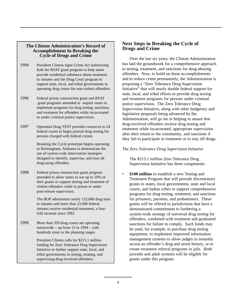#### **The Clinton Administration's Record of Accomplishment In Breaking the Cycle of Drugs and Crime**

- 1994 President Clinton signs Crime Act authorizing both the RSAT grant program to help states provide residential substance abuse treatment to inmates and the Drug Court program to support state, local, and tribal governments in operating drug courts for non-violent offenders.
- 1996 Federal prison construction grant and RSAT grant programs amended to require states to implement programs for drug testing, sanctions, and treatment for offenders while incarcerated or under criminal justice supervision.
- 1997 Operation Drug TEST provides resources to 24 federal courts to begin pretrial drug testing for persons charged with federal crimes.

Breaking the Cycle prototype begins operating in Birmingham, Alabama to demonstrate the use of system-wide intervention strategies designed to identify, supervise, and treat all drug-using offenders.

1998 Federal prison construction grant program amended to allow states to use up to 10% of their grants to support testing and treatment of violent offenders while in prison or under post-release supervision.

> The BOP administers nearly 132,000 drug tests to inmates and more than 22,000 federal inmates receive residential treatment, a fourfold increase since 1993.

1999 More than 359 drug courts are operating nationwide – up from 12 in 1994 – with hundreds more in the planning stages.

> President Clinton calls for \$215.1 million funding for Zero Tolerance Drug Supervision Initiative to further support state, local, and tribal governments in testing, treating, and supervising drug-involved offenders.

#### **Next Steps in Breaking the Cycle of Drugs and Crime**

Over the last six years, the Clinton Administration has laid the groundwork for a comprehensive approach to testing, treatment, and sanctions for drug-abusing offenders. Now, to build on these accomplishments and to reduce crime permanently, the Administration is proposing a "Zero Tolerance Drug Supervision Initiative" that will nearly double federal support for state, local, and tribal efforts to provide drug testing and treatment programs for persons under criminal justice supervision. The Zero Tolerance Drug Supervision Initiative, along with other budgetary and legislative proposals being advanced by the Administration, will go far in helping to assure that drug-involved offenders receive drug testing and treatment while incarcerated, appropriate supervision after their return to the community, and sanctions if they fail to participate in treatment or to stay off drugs.

#### *The Zero Tolerance Drug Supervision Initiative*

The \$215.1 million Zero Tolerance Drug Supervision Initiative has three components:

**\$100 million** to establish a new Testing and Treatment Program that will provide discretionary grants to states, local governments, state and local courts, and Indian tribes to support comprehensive programs for drug testing, treatment, and sanctions for prisoners, parolees, and probationers. These grants will be offered to jurisdictions that have a demonstrated commitment to furthering a system-wide strategy of universal drug testing for offenders, combined with treatment and graduated sanctions for failure to comply. Such funds may be used, for example, to purchase drug testing equipment, to implement improved information management systems to allow judges to instantly access an offender's drug and arrest history, or to create treatment referral programs in jails. Both juvenile and adult systems will be eligible for grants under this program.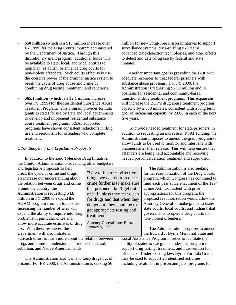- **\$50 million** (which is a \$10 million increase over FY 1999) for the Drug Courts Program administered by the Department of Justice. Through this discretionary grant program, additional funds will be available to state, local, and tribal entities to help plan, establish, or enhance drug courts for non-violent offenders. Such courts effectively use the coercive power of the criminal justice system to break the cycle of drug abuse and crime by combining drug testing, treatment, and sanctions.
- **\$65.1 million** (which is a \$2.1 million increase over FY 1999) for the Residential Substance Abuse Treatment Program. This program provides formula grants to states for use by state and local governments to develop and implement residential substance abuse treatment programs. RSAT supported programs have shown consistent reductions in drug use and recidivism for offenders who complete treatment.

#### *Other Budgetary and Legislative Proposals*

In addition to the Zero Tolerance Drug Initiative, the Clinton Administration is advancing other budgetary

and legislative proposals to help break the cycle of crime and drugs. To increase our understanding about the relation between drugs and crime around the country, the Administration is requesting \$4.8 million in FY 2000 to expand the ADAM program from 35 to 50 sites. Increasing the number of sites will expand the ability to inquire into drug problems in particular cities and allow more accurate estimates of drug use. With these resources, the Department will also initiate an

outreach effort to learn more about the relation between drugs and crime in understudied areas such as rural, suburban, and Native American lands.

The Administration also wants to keep drugs out of prisons. For FY 2000, the Administration is seeking \$6

million for new Drug-Free Prison initiatives to support surveillance systems, drug-sniffing K-9 teams, advanced drug-detection technologies, and other efforts to detect and deter drug use by federal and state inmates.

Another important goal is providing the BOP with adequate resources to treat federal prisoners with substance abuse problems. For FY 2000, the Administration is requesting \$2.09 million and 31 positions for residential and community-based transitional drug treatment programs. This expansion will increase the BOP's drug abuse treatment program capacity by 2,000 inmates, consistent with a long term goal of increasing capacity by 2,000 in each of the next five years.

To provide needed treatment for state prisoners, in addition to requesting an increase in RSAT funding, the Administration proposes to amend the grant program to allow funds to be used to monitor and intervene with prisoners after their release. This will help ensure that offenders are being held accountable and receiving needed post-incarceration treatment and supervision.

> The Administration is also seeking formal reauthorization of the Drug Courts program, which Congress has continued to fund each year since enactment of the 1994 Crime Act. Consistent with prior appropriations for this program, the proposed reauthorization would allow the Attorney General to make grants to states, state courts, local courts, and Indian tribal governments to operate drug courts for non-violent offenders.

The Administration proposes to amend the Edward J. Byrne Memorial State and

Local Assistance Program in order to facilitate the ability of states to use grants under this program to support drug testing, treatment, and intervention for offenders. Under existing law, Byrne Formula Grants may be used to support 26 identified activities, including treatment in prison and jails; programs for

things we can do to reduce crime further is to make sure that prisoners don't get out of jail unless they test clean for drugs and that when they do get out, they continue to get appropriate testing and treatment."

"One of the most effective

Attorney General Janet Reno, January 5, 1999